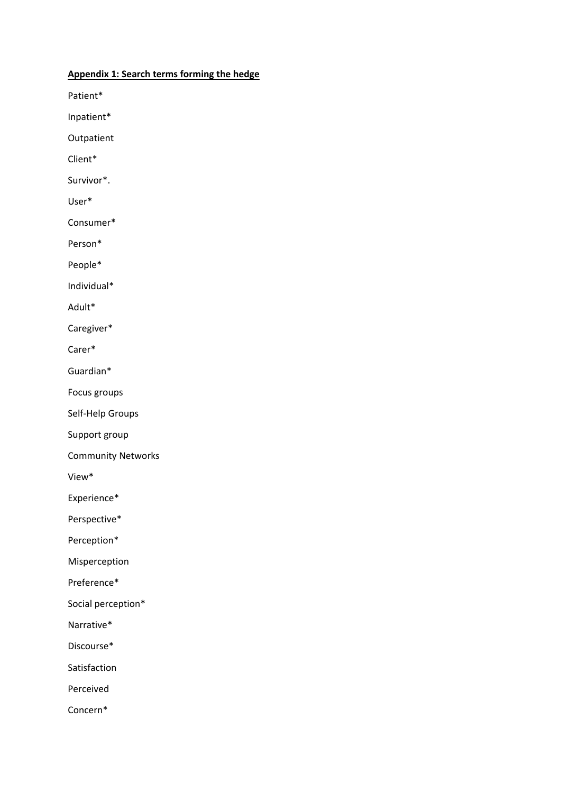## **Appendix 1: Search terms forming the hedge**

Patient\*

Inpatient\*

Outpatient

Client\*

Survivor\*.

User\*

Consumer\*

Person\*

People\*

Individual\*

Adult\*

Caregiver\*

Carer\*

Guardian\*

Focus groups

Self-Help Groups

Support group

Community Networks

View\*

Experience\*

Perspective\*

Perception\*

Misperception

Preference\*

Social perception\*

Narrative\*

Discourse\*

Satisfaction

Perceived

Concern\*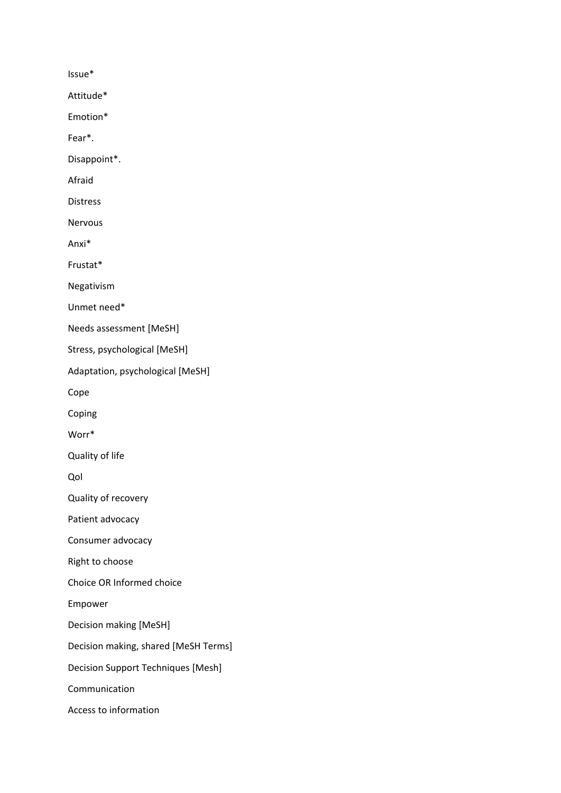Issue\*

Attitude\*

Emotion\*

Fear\*.

Disappoint\*.

Afraid

Distress

Nervous

Anxi\*

Frustat\*

Negativism

Unmet need\*

Needs assessment [MeSH]

Stress, psychological [MeSH]

Adaptation, psychological [MeSH]

Cope

Coping

Worr\*

Quality of life

Qol

Quality of recovery

Patient advocacy

Consumer advocacy

Right to choose

Choice OR Informed choice

Empower

Decision making [MeSH]

Decision making, shared [MeSH Terms]

Decision Support Techniques [Mesh]

Communication

Access to information